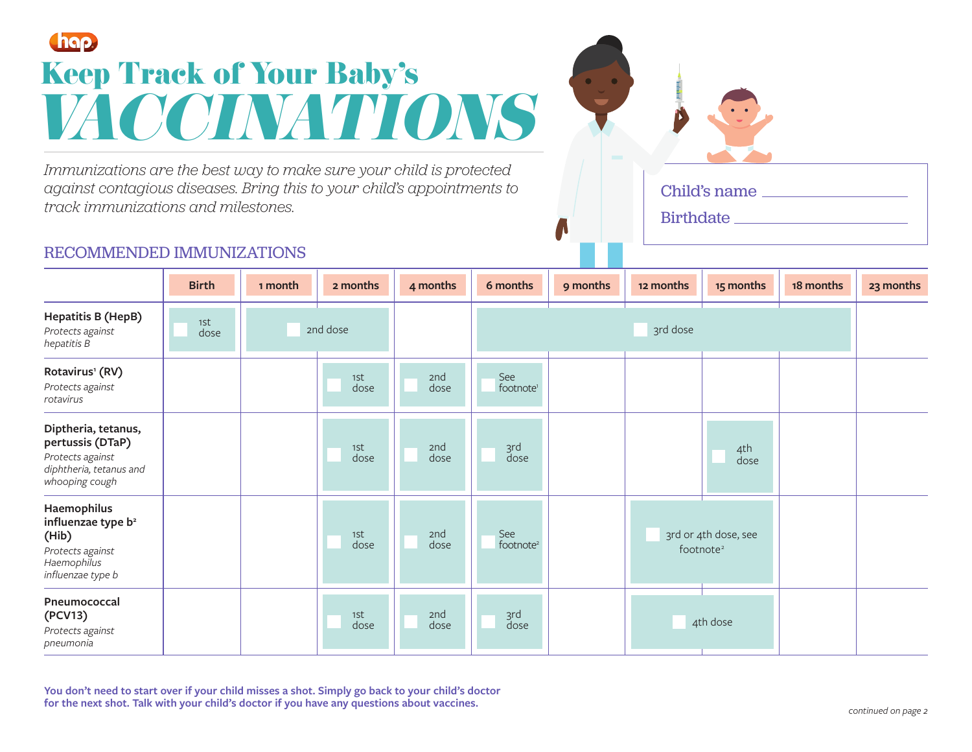# Chap. **Keep Track of Your Baby's** *VACCINATIONS*

*Immunizations are the best way to make sure your child is protected against contagious diseases. Bring this to your child's appointments to track immunizations and milestones.*

## RECOMMENDED IMMUNIZATIONS

|                                                                                                                | <b>Birth</b> | 1 month  | 2 months    | 4 months    | 6 months                     | 9 months | 12 months                                     | 15 months   | 18 months | 23 months |
|----------------------------------------------------------------------------------------------------------------|--------------|----------|-------------|-------------|------------------------------|----------|-----------------------------------------------|-------------|-----------|-----------|
| Hepatitis B (HepB)<br>Protects against<br>hepatitis B                                                          | 1St<br>dose  | 2nd dose |             |             |                              |          | 3rd dose                                      |             |           |           |
| Rotavirus <sup>1</sup> (RV)<br>Protects against<br>rotavirus                                                   |              |          | 1st<br>dose | 2nd<br>dose | See<br>footnote <sup>1</sup> |          |                                               |             |           |           |
| Diptheria, tetanus,<br>pertussis (DTaP)<br>Protects against<br>diphtheria, tetanus and<br>whooping cough       |              |          | 1st<br>dose | 2nd<br>dose | ard<br>dose                  |          |                                               | 4th<br>dose |           |           |
| Haemophilus<br>influenzae type b <sup>2</sup><br>(Hib)<br>Protects against<br>Haemophilus<br>influenzae type b |              |          | 1st<br>dose | 2nd<br>dose | See<br>footnote <sup>2</sup> |          | 3rd or 4th dose, see<br>footnote <sup>2</sup> |             |           |           |
| Pneumococcal<br>(PCV13)<br>Protects against<br>pneumonia                                                       |              |          | 1st<br>dose | 2nd<br>dose | ard<br>dose                  |          |                                               | 4th dose    |           |           |

**You don't need to start over if your child misses a shot. Simply go back to your child's doctor for the next shot. Talk with your child's doctor if you have any questions about vaccines.**

Child's name

**Birthdate**